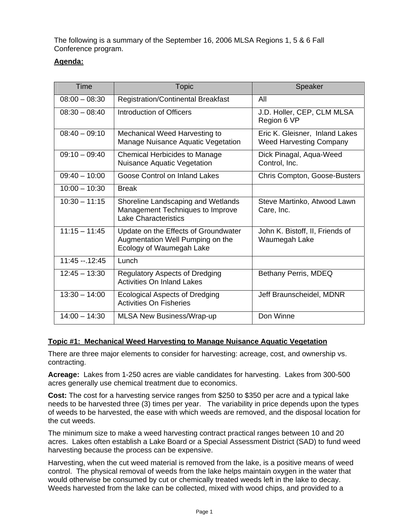The following is a summary of the September 16, 2006 MLSA Regions 1, 5 & 6 Fall Conference program.

# **Agenda:**

| Time            | <b>Topic</b>                                                                                          | Speaker                                                          |
|-----------------|-------------------------------------------------------------------------------------------------------|------------------------------------------------------------------|
| $08:00 - 08:30$ | <b>Registration/Continental Breakfast</b>                                                             | All                                                              |
| $08:30 - 08:40$ | Introduction of Officers                                                                              | J.D. Holler, CEP, CLM MLSA<br>Region 6 VP                        |
| $08:40 - 09:10$ | Mechanical Weed Harvesting to<br>Manage Nuisance Aquatic Vegetation                                   | Eric K. Gleisner, Inland Lakes<br><b>Weed Harvesting Company</b> |
| $09:10 - 09:40$ | Chemical Herbicides to Manage<br><b>Nuisance Aquatic Vegetation</b>                                   | Dick Pinagal, Aqua-Weed<br>Control, Inc.                         |
| $09:40 - 10:00$ | Goose Control on Inland Lakes                                                                         | Chris Compton, Goose-Busters                                     |
| $10:00 - 10:30$ | <b>Break</b>                                                                                          |                                                                  |
| $10:30 - 11:15$ | Shoreline Landscaping and Wetlands<br>Management Techniques to Improve<br><b>Lake Characteristics</b> | Steve Martinko, Atwood Lawn<br>Care, Inc.                        |
| $11:15 - 11:45$ | Update on the Effects of Groundwater<br>Augmentation Well Pumping on the<br>Ecology of Waumegah Lake  | John K. Bistoff, II, Friends of<br>Waumegah Lake                 |
| $11:45 - 12:45$ | Lunch                                                                                                 |                                                                  |
| $12:45 - 13:30$ | <b>Regulatory Aspects of Dredging</b><br><b>Activities On Inland Lakes</b>                            | Bethany Perris, MDEQ                                             |
| $13:30 - 14:00$ | <b>Ecological Aspects of Dredging</b><br><b>Activities On Fisheries</b>                               | Jeff Braunscheidel, MDNR                                         |
| $14:00 - 14:30$ | <b>MLSA New Business/Wrap-up</b>                                                                      | Don Winne                                                        |

## **Topic #1: Mechanical Weed Harvesting to Manage Nuisance Aquatic Vegetation**

There are three major elements to consider for harvesting: acreage, cost, and ownership vs. contracting.

**Acreage:** Lakes from 1-250 acres are viable candidates for harvesting. Lakes from 300-500 acres generally use chemical treatment due to economics.

**Cost:** The cost for a harvesting service ranges from \$250 to \$350 per acre and a typical lake needs to be harvested three (3) times per year. The variability in price depends upon the types of weeds to be harvested, the ease with which weeds are removed, and the disposal location for the cut weeds.

The minimum size to make a weed harvesting contract practical ranges between 10 and 20 acres. Lakes often establish a Lake Board or a Special Assessment District (SAD) to fund weed harvesting because the process can be expensive.

Harvesting, when the cut weed material is removed from the lake, is a positive means of weed control. The physical removal of weeds from the lake helps maintain oxygen in the water that would otherwise be consumed by cut or chemically treated weeds left in the lake to decay. Weeds harvested from the lake can be collected, mixed with wood chips, and provided to a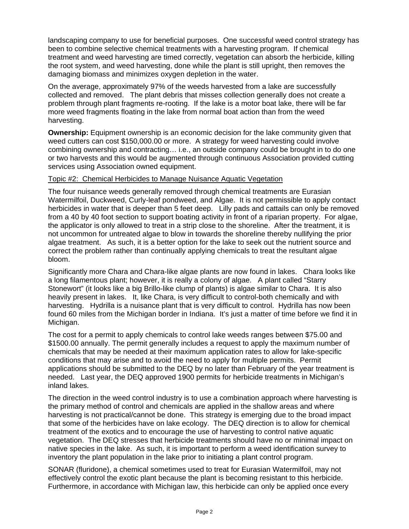landscaping company to use for beneficial purposes. One successful weed control strategy has been to combine selective chemical treatments with a harvesting program. If chemical treatment and weed harvesting are timed correctly, vegetation can absorb the herbicide, killing the root system, and weed harvesting, done while the plant is still upright, then removes the damaging biomass and minimizes oxygen depletion in the water.

On the average, approximately 97% of the weeds harvested from a lake are successfully collected and removed. The plant debris that misses collection generally does not create a problem through plant fragments re-rooting. If the lake is a motor boat lake, there will be far more weed fragments floating in the lake from normal boat action than from the weed harvesting.

**Ownership:** Equipment ownership is an economic decision for the lake community given that weed cutters can cost \$150,000.00 or more. A strategy for weed harvesting could involve combining ownership and contracting… i.e., an outside company could be brought in to do one or two harvests and this would be augmented through continuous Association provided cutting services using Association owned equipment.

#### Topic #2: Chemical Herbicides to Manage Nuisance Aquatic Vegetation

The four nuisance weeds generally removed through chemical treatments are Eurasian Watermilfoil, Duckweed, Curly-leaf pondweed, and Algae. It is not permissible to apply contact herbicides in water that is deeper than 5 feet deep. Lilly pads and cattails can only be removed from a 40 by 40 foot section to support boating activity in front of a riparian property. For algae, the applicator is only allowed to treat in a strip close to the shoreline. After the treatment, it is not uncommon for untreated algae to blow in towards the shoreline thereby nullifying the prior algae treatment. As such, it is a better option for the lake to seek out the nutrient source and correct the problem rather than continually applying chemicals to treat the resultant algae bloom.

Significantly more Chara and Chara-like algae plants are now found in lakes. Chara looks like a long filamentous plant; however, it is really a colony of algae. A plant called "Starry Stonewort" (it looks like a big Brillo-like clump of plants) is algae similar to Chara. It is also heavily present in lakes. It, like Chara, is very difficult to control-both chemically and with harvesting. Hydrilla is a nuisance plant that is very difficult to control. Hydrilla has now been found 60 miles from the Michigan border in Indiana. It's just a matter of time before we find it in Michigan.

The cost for a permit to apply chemicals to control lake weeds ranges between \$75.00 and \$1500.00 annually. The permit generally includes a request to apply the maximum number of chemicals that may be needed at their maximum application rates to allow for lake-specific conditions that may arise and to avoid the need to apply for multiple permits. Permit applications should be submitted to the DEQ by no later than February of the year treatment is needed. Last year, the DEQ approved 1900 permits for herbicide treatments in Michigan's inland lakes.

The direction in the weed control industry is to use a combination approach where harvesting is the primary method of control and chemicals are applied in the shallow areas and where harvesting is not practical/cannot be done. This strategy is emerging due to the broad impact that some of the herbicides have on lake ecology. The DEQ direction is to allow for chemical treatment of the exotics and to encourage the use of harvesting to control native aquatic vegetation. The DEQ stresses that herbicide treatments should have no or minimal impact on native species in the lake. As such, it is important to perform a weed identification survey to inventory the plant population in the lake prior to initiating a plant control program.

SONAR (fluridone), a chemical sometimes used to treat for Eurasian Watermilfoil, may not effectively control the exotic plant because the plant is becoming resistant to this herbicide. Furthermore, in accordance with Michigan law, this herbicide can only be applied once every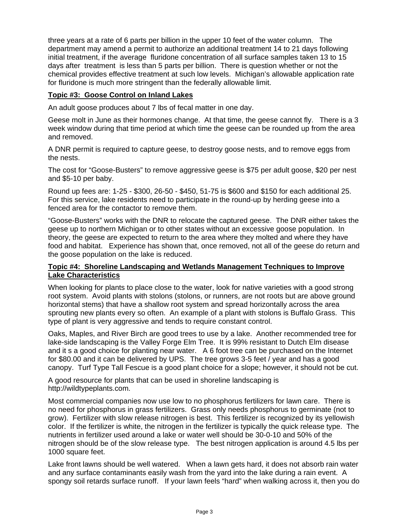three years at a rate of 6 parts per billion in the upper 10 feet of the water column. The department may amend a permit to authorize an additional treatment 14 to 21 days following initial treatment, if the average fluridone concentration of all surface samples taken 13 to 15 days after treatment is less than 5 parts per billion. There is question whether or not the chemical provides effective treatment at such low levels. Michigan's allowable application rate for fluridone is much more stringent than the federally allowable limit.

### **Topic #3: Goose Control on Inland Lakes**

An adult goose produces about 7 lbs of fecal matter in one day.

Geese molt in June as their hormones change. At that time, the geese cannot fly. There is a 3 week window during that time period at which time the geese can be rounded up from the area and removed.

A DNR permit is required to capture geese, to destroy goose nests, and to remove eggs from the nests.

The cost for "Goose-Busters" to remove aggressive geese is \$75 per adult goose, \$20 per nest and \$5-10 per baby.

Round up fees are: 1-25 - \$300, 26-50 - \$450, 51-75 is \$600 and \$150 for each additional 25. For this service, lake residents need to participate in the round-up by herding geese into a fenced area for the contactor to remove them.

"Goose-Busters" works with the DNR to relocate the captured geese. The DNR either takes the geese up to northern Michigan or to other states without an excessive goose population. In theory, the geese are expected to return to the area where they molted and where they have food and habitat. Experience has shown that, once removed, not all of the geese do return and the goose population on the lake is reduced.

#### **Topic #4: Shoreline Landscaping and Wetlands Management Techniques to Improve Lake Characteristics**

When looking for plants to place close to the water, look for native varieties with a good strong root system. Avoid plants with stolons (stolons, or runners, are not roots but are above ground horizontal stems) that have a shallow root system and spread horizontally across the area sprouting new plants every so often. An example of a plant with stolons is Buffalo Grass. This type of plant is very aggressive and tends to require constant control.

Oaks, Maples, and River Birch are good trees to use by a lake. Another recommended tree for lake-side landscaping is the Valley Forge Elm Tree. It is 99% resistant to Dutch Elm disease and it s a good choice for planting near water. A 6 foot tree can be purchased on the Internet for \$80.00 and it can be delivered by UPS. The tree grows 3-5 feet / year and has a good canopy. Turf Type Tall Fescue is a good plant choice for a slope; however, it should not be cut.

A good resource for plants that can be used in shoreline landscaping is http://wildtypeplants.com.

Most commercial companies now use low to no phosphorus fertilizers for lawn care. There is no need for phosphorus in grass fertilizers. Grass only needs phosphorus to germinate (not to grow). Fertilizer with slow release nitrogen is best. This fertilizer is recognized by its yellowish color. If the fertilizer is white, the nitrogen in the fertilizer is typically the quick release type. The nutrients in fertilizer used around a lake or water well should be 30-0-10 and 50% of the nitrogen should be of the slow release type. The best nitrogen application is around 4.5 lbs per 1000 square feet.

Lake front lawns should be well watered. When a lawn gets hard, it does not absorb rain water and any surface contaminants easily wash from the yard into the lake during a rain event. A spongy soil retards surface runoff. If your lawn feels "hard" when walking across it, then you do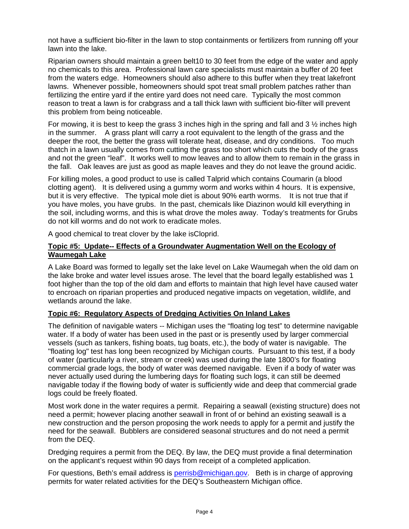not have a sufficient bio-filter in the lawn to stop containments or fertilizers from running off your lawn into the lake.

Riparian owners should maintain a green belt10 to 30 feet from the edge of the water and apply no chemicals to this area. Professional lawn care specialists must maintain a buffer of 20 feet from the waters edge. Homeowners should also adhere to this buffer when they treat lakefront lawns. Whenever possible, homeowners should spot treat small problem patches rather than fertilizing the entire yard if the entire yard does not need care. Typically the most common reason to treat a lawn is for crabgrass and a tall thick lawn with sufficient bio-filter will prevent this problem from being noticeable.

For mowing, it is best to keep the grass 3 inches high in the spring and fall and 3 ½ inches high in the summer. A grass plant will carry a root equivalent to the length of the grass and the deeper the root, the better the grass will tolerate heat, disease, and dry conditions. Too much thatch in a lawn usually comes from cutting the grass too short which cuts the body of the grass and not the green "leaf". It works well to mow leaves and to allow them to remain in the grass in the fall. Oak leaves are just as good as maple leaves and they do not leave the ground acidic.

For killing moles, a good product to use is called Talprid which contains Coumarin (a blood clotting agent). It is delivered using a gummy worm and works within 4 hours. It is expensive, but it is very effective. The typical mole diet is about 90% earth worms. It is not true that if you have moles, you have grubs. In the past, chemicals like Diazinon would kill everything in the soil, including worms, and this is what drove the moles away. Today's treatments for Grubs do not kill worms and do not work to eradicate moles.

A good chemical to treat clover by the lake isCloprid.

### **Topic #5: Update-- Effects of a Groundwater Augmentation Well on the Ecology of Waumegah Lake**

A Lake Board was formed to legally set the lake level on Lake Waumegah when the old dam on the lake broke and water level issues arose. The level that the board legally established was 1 foot higher than the top of the old dam and efforts to maintain that high level have caused water to encroach on riparian properties and produced negative impacts on vegetation, wildlife, and wetlands around the lake.

## **Topic #6: Regulatory Aspects of Dredging Activities On Inland Lakes**

The definition of navigable waters -- Michigan uses the "floating log test" to determine navigable water. If a body of water has been used in the past or is presently used by larger commercial vessels (such as tankers, fishing boats, tug boats, etc.), the body of water is navigable. The "floating log" test has long been recognized by Michigan courts. Pursuant to this test, if a body of water (particularly a river, stream or creek) was used during the late 1800's for floating commercial grade logs, the body of water was deemed navigable. Even if a body of water was never actually used during the lumbering days for floating such logs, it can still be deemed navigable today if the flowing body of water is sufficiently wide and deep that commercial grade logs could be freely floated.

Most work done in the water requires a permit. Repairing a seawall (existing structure) does not need a permit; however placing another seawall in front of or behind an existing seawall is a new construction and the person proposing the work needs to apply for a permit and justify the need for the seawall. Bubblers are considered seasonal structures and do not need a permit from the DEQ.

Dredging requires a permit from the DEQ. By law, the DEQ must provide a final determination on the applicant's request within 90 days from receipt of a completed application.

For questions, Beth's email address is **perrisb@michigan.gov**. Beth is in charge of approving permits for water related activities for the DEQ's Southeastern Michigan office.